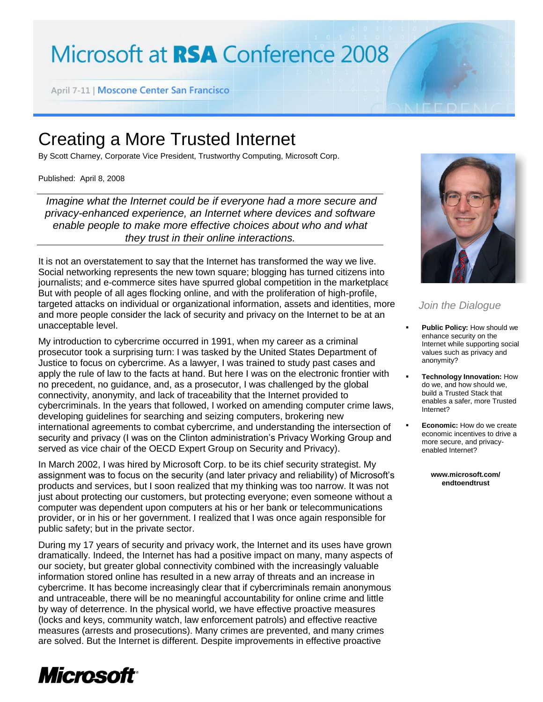## Microsoft at RSA Conference 2008

April 7-11 | Moscone Center San Francisco

## Creating a More Trusted Internet

By Scott Charney, Corporate Vice President, Trustworthy Computing, Microsoft Corp.

Published: April 8, 2008

*Imagine what the Internet could be if everyone had a more secure and privacy-enhanced experience, an Internet where devices and software enable people to make more effective choices about who and what they trust in their online interactions.*

It is not an overstatement to say that the Internet has transformed the way we live. Social networking represents the new town square; blogging has turned citizens into journalists; and e-commerce sites have spurred global competition in the marketplace. But with people of all ages flocking online, and with the proliferation of high-profile, targeted attacks on individual or organizational information, assets and identities, more and more people consider the lack of security and privacy on the Internet to be at an unacceptable level.

My introduction to cybercrime occurred in 1991, when my career as a criminal prosecutor took a surprising turn: I was tasked by the United States Department of Justice to focus on cybercrime. As a lawyer, I was trained to study past cases and apply the rule of law to the facts at hand. But here I was on the electronic frontier with no precedent, no guidance, and, as a prosecutor, I was challenged by the global connectivity, anonymity, and lack of traceability that the Internet provided to cybercriminals. In the years that followed, I worked on amending computer crime laws, developing guidelines for searching and seizing computers, brokering new international agreements to combat cybercrime, and understanding the intersection of security and privacy (I was on the Clinton administration's Privacy Working Group and served as vice chair of the OECD Expert Group on Security and Privacy).

In March 2002, I was hired by Microsoft Corp. to be its chief security strategist. My assignment was to focus on the security (and later privacy and reliability) of Microsoft's products and services, but I soon realized that my thinking was too narrow. It was not just about protecting our customers, but protecting everyone; even someone without a computer was dependent upon computers at his or her bank or telecommunications provider, or in his or her government. I realized that I was once again responsible for public safety; but in the private sector.

During my 17 years of security and privacy work, the Internet and its uses have grown dramatically. Indeed, the Internet has had a positive impact on many, many aspects of our society, but greater global connectivity combined with the increasingly valuable information stored online has resulted in a new array of threats and an increase in cybercrime. It has become increasingly clear that if cybercriminals remain anonymous and untraceable, there will be no meaningful accountability for online crime and little by way of deterrence. In the physical world, we have effective proactive measures (locks and keys, community watch, law enforcement patrols) and effective reactive measures (arrests and prosecutions). Many crimes are prevented, and many crimes are solved. But the Internet is different. Despite improvements in effective proactive



## *Join the Dialogue*

- **Public Policy:** How should we enhance security on the Internet while supporting social values such as privacy and anonymity?
- **Technology Innovation:** How do we, and how should we, build a Trusted Stack that enables a safer, more Trusted Internet?
- **Economic:** How do we create economic incentives to drive a more secure, and privacyenabled Internet?

**www.microsoft.com/ endtoendtrust**